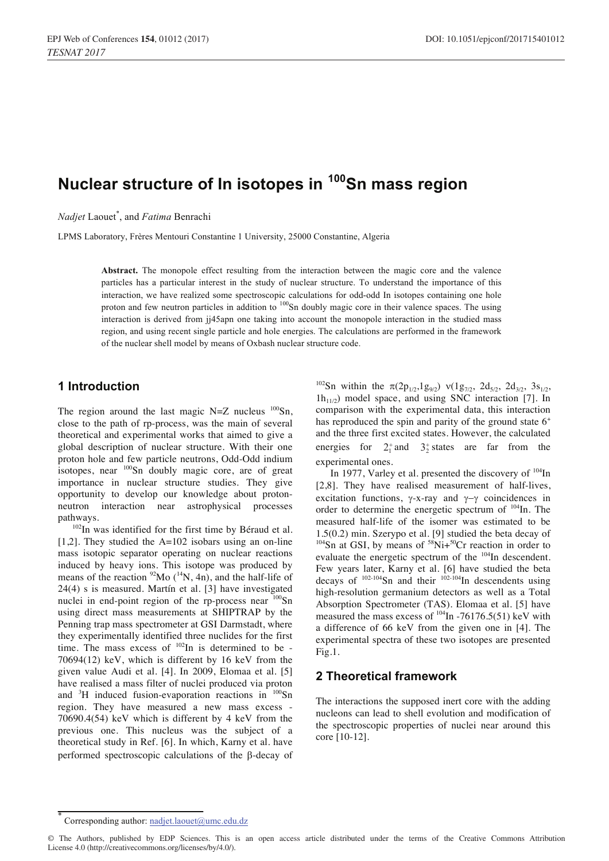# **Nuclear structure of In isotopes in 100Sn mass region**

*Nadjet* Laouet\* , and *Fatima* Benrachi

LPMS Laboratory, Frères Mentouri Constantine 1 University, 25000 Constantine, Algeria

**Abstract.** The monopole effect resulting from the interaction between the magic core and the valence particles has a particular interest in the study of nuclear structure. To understand the importance of this interaction, we have realized some spectroscopic calculations for odd-odd In isotopes containing one hole proton and few neutron particles in addition to <sup>100</sup>Sn doubly magic core in their valence spaces. The using interaction is derived from jj45apn one taking into account the monopole interaction in the studied mass region, and using recent single particle and hole energies. The calculations are performed in the framework of the nuclear shell model by means of Oxbash nuclear structure code.

## **1 Introduction**

The region around the last magic  $N=Z$  nucleus  $100\text{Sn}$ , close to the path of rp-process, was the main of several theoretical and experimental works that aimed to give a global description of nuclear structure. With their one proton hole and few particle neutrons, Odd-Odd indium isotopes, near <sup>100</sup>Sn doubly magic core, are of great importance in nuclear structure studies. They give opportunity to develop our knowledge about protonneutron interaction near astrophysical processes pathways.<br><sup>102</sup>In was identified for the first time by Béraud et al.

 $[1,2]$ . They studied the A=102 isobars using an on-line mass isotopic separator operating on nuclear reactions induced by heavy ions. This isotope was produced by means of the reaction  $^{92}$ Mo ( $^{14}$ N, 4n), and the half-life of 24(4) s is measured. Martín et al. [3] have investigated nuclei in end-point region of the rp-process near  $100$ Sn using direct mass measurements at SHIPTRAP by the Penning trap mass spectrometer at GSI Darmstadt, where they experimentally identified three nuclides for the first time. The mass excess of  $102$ In is determined to be -70694(12) keV, which is different by 16 keV from the given value Audi et al. [4]. In 2009, Elomaa et al. [5] have realised a mass filter of nuclei produced via proton and  ${}^{3}H$  induced fusion-evaporation reactions in  ${}^{100}Sn$ region. They have measured a new mass excess - 70690.4(54) keV which is different by 4 keV from the previous one. This nucleus was the subject of a theoretical study in Ref. [6]. In which, Karny et al. have performed spectroscopic calculations of the b-decay of

<sup>102</sup>Sn within the  $\pi(2p_{1/2},1g_{9/2})$  v(1g<sub>7/2</sub>, 2d<sub>5/2</sub>, 2d<sub>3/2</sub>, 3s<sub>1/2</sub>,  $1h_{11/2}$ ) model space, and using SNC interaction [7]. In comparison with the experimental data, this interaction has reproduced the spin and parity of the ground state  $6^+$ and the three first excited states. However, the calculated energies for  $2^+$  and  $3^+$  states are far from the experimental ones.

In 1977, Varley et al. presented the discovery of <sup>104</sup>In [2,8]. They have realised measurement of half-lives, excitation functions,  $\gamma$ -x-ray and  $\gamma$ - $\gamma$  coincidences in order to determine the energetic spectrum of 104In. The measured half-life of the isomer was estimated to be 1.5(0.2) min. Szerypo et al. [9] studied the beta decay of  $104$ Sn at GSI, by means of  $58$ Ni+ $50$ Cr reaction in order to evaluate the energetic spectrum of the <sup>104</sup>In descendent. Few years later, Karny et al. [6] have studied the beta decays of  $102-104$ Sn and their  $102-104$ In descendents using high-resolution germanium detectors as well as a Total Absorption Spectrometer (TAS). Elomaa et al. [5] have measured the mass excess of  $^{104}$ In -76176.5(51) keV with a difference of 66 keV from the given one in [4]. The experimental spectra of these two isotopes are presented Fig.1.

## **2 Theoretical framework**

The interactions the supposed inert core with the adding nucleons can lead to shell evolution and modification of the spectroscopic properties of nuclei near around this core [10-12].

Corresponding author: nadjet.laouet@umc.edu.dz

<sup>©</sup> The Authors, published by EDP Sciences. This is an open access article distributed under the terms of the Creative Commons Attribution License 4.0 (http://creativecommons.org/licenses/by/4.0/).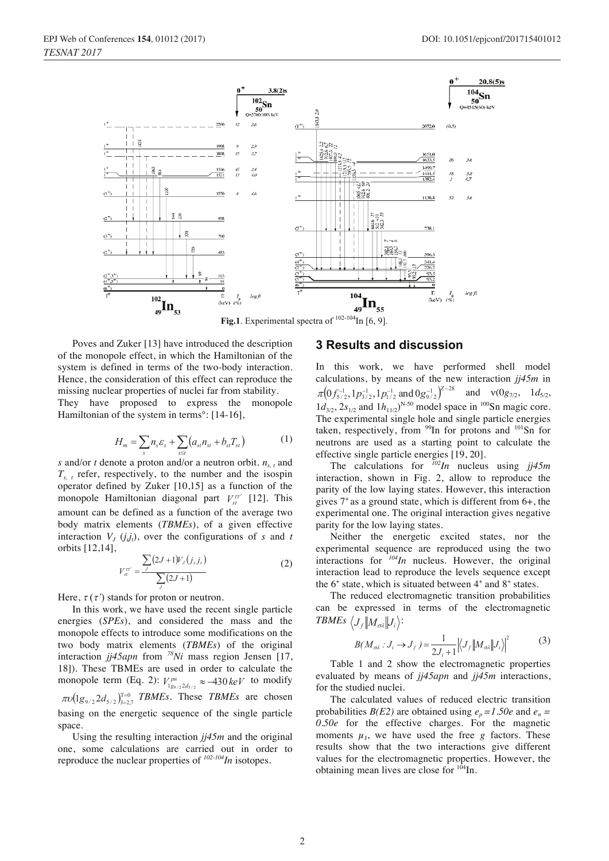

**Fig.1**. Experimental spectra of  $102-104$  In [6, 9].

Poves and Zuker [13] have introduced the description of the monopole effect, in which the Hamiltonian of the system is defined in terms of the two-body interaction. Hence, the consideration of this effect can reproduce the missing nuclear properties of nuclei far from stability.

They have proposed to express the monopole Hamiltonian of the system in terms<sup>o</sup>: [14-16],

$$
H_m = \sum_s n_s \varepsilon_s + \sum_{s \le t} \left( a_{st} n_{st} + b_{st} T_{st} \right) \tag{1}
$$

*s* and/or *t* denote a proton and/or a neutron orbit.  $n_{s,t}$  and  $T_{s, t}$  refer, respectively, to the number and the isospin operator defined by Zuker [10,15] as a function of the monopole Hamiltonian diagonal part  $V_{st}^{\tau\tau'}$  [12]. This amount can be defined as a function of the average two body matrix elements (*TBMEs*), of a given effective interaction  $V_J$   $(j_s j_t)$ , over the configurations of *s* and *t* orbits [12,14],

$$
V_{st}^{rr'} = \frac{\sum_{J} (2J+1)V_{J}(j_s j_t)}{\sum_{J} (2J+1)}
$$
(2)

Here,  $\tau(\tau')$  stands for proton or neutron.

In this work, we have used the recent single particle energies (*SPEs*), and considered the mass and the monopole effects to introduce some modifications on the two body matrix elements (*TBMEs*) of the original interaction *jj45apn* from *78Ni* mass region Jensen [17, 18]). These TBMEs are used in order to calculate the monopole term (Eq. 2):  $V_{\frac{1g_{9/2}^p}{2d_{5/2}}}^{\frac{p^n}{2d_{5/2}}} \approx -430 \, keV$  to modify  $\pi\nu$ (1g<sub>9/2</sub> 2d<sub>5/2</sub>)<sup>T=0</sup></sup> *TBMEs*. These *TBMEs* are chosen basing on the energetic sequence of the single particle space.

Using the resulting interaction *jj45m* and the original one, some calculations are carried out in order to reproduce the nuclear properties of *<sup>102</sup>*-*104In* isotopes.

#### **3 Results and discussion**

In this work, we have performed shell model calculations, by means of the new interaction *jj45m* in  $\pi (0 f_{5/2}^{-1}, 1 p_{3/2}^{-1}, 1 p_{1/2}^{-1} \text{ and } 0 g_{9/2}^{-1})^{Z-28}$  and  $v(0 g_{7/2}, 1 d_{5/2},$  $1d_{3/2}$ ,  $2s_{1/2}$  and  $1h_{11/2}$ <sup>N-50</sup> model space in <sup>100</sup>Sn magic core. The experimental single hole and single particle energies taken, respectively, from  $99$ In for protons and  $101$ Sn for neutrons are used as a starting point to calculate the effective single particle energies [19, 20].

The calculations for *102In* nucleus using *jj45m* interaction, shown in Fig. 2, allow to reproduce the parity of the low laying states. However, this interaction gives  $7^*$  as a ground state, which is different from  $6^+$ , the experimental one. The original interaction gives negative parity for the low laying states.

Neither the energetic excited states, nor the experimental sequence are reproduced using the two interactions for *104In* nucleus. However, the original interaction lead to reproduce the levels sequence except the  $6^+$  state, which is situated between  $4^+$  and  $8^+$  states.

The reduced electromagnetic transition probabilities can be expressed in terms of the electromagnetic *TBMEs*  $\langle J_f \vert M_{\sigma^2} \vert J_i \rangle$ :

$$
B(M_{\sigma\lambda}:J_i\to J_f) = \frac{1}{2J_i+1} \Big|\Big\langle J_f \Big| M_{\sigma\lambda} \Big| J_i \Big\rangle^2 \tag{3}
$$

Table 1 and 2 show the electromagnetic properties evaluated by means of *jj45apn* and *jj45m* interactions, for the studied nuclei.

The calculated values of reduced electric transition probabilities  $B(E2)$  are obtained using  $e<sub>n</sub> = 1.50e$  and  $e<sub>n</sub> =$ *0.50e* for the effective charges. For the magnetic moments  $\mu_1$ , we have used the free *g* factors. These results show that the two interactions give different values for the electromagnetic properties. However, the obtaining mean lives are close for 104In.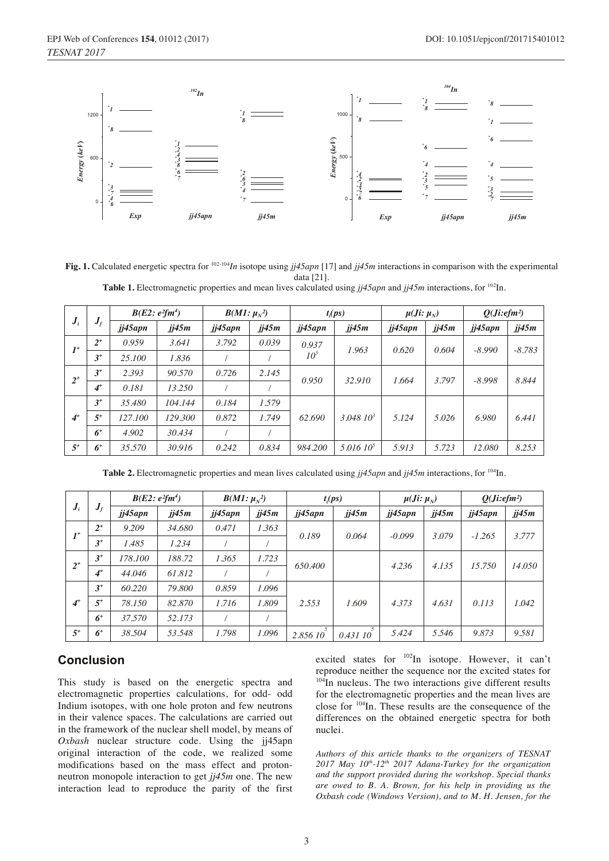

**Fig. 1.** Calculated energetic spectra for 102-104*In* isotope using *jj45apn* [17] and *jj45m* interactions in comparison with the experimental data [21]. **Table 1.** Electromagnetic properties and mean lives calculated using *jj45apn* and *jj45m* interactions, for 102In.

| $J_i$   | $J_f$ | $B(E2: e^2fm^4)$ |         | $B(M1: \mu_N^2)$ |       | $t_i(ps)$                |               | $\mu(J_i: \mu_N)$ |       | Q(Ji:efm <sup>2</sup> ) |          |
|---------|-------|------------------|---------|------------------|-------|--------------------------|---------------|-------------------|-------|-------------------------|----------|
|         |       | jj45apn          | ji45m   | jj45apn          | ji45m | jj45apn                  | ji45m         | jj45apn           | ji45m | jj45apn                 | jj45m    |
| $I^+$   | $2^+$ | 0.959            | 3.641   | 3.792            | 0.039 | 0.937<br>10 <sup>5</sup> | 1.963         | 0.620             | 0.604 | $-8.990$                | $-8.783$ |
|         | $3^+$ | 25.100           | 1.836   |                  |       |                          |               |                   |       |                         |          |
| $2^{+}$ | $3^+$ | 2.393            | 90.570  | 0.726            | 2.145 | 0.950                    | 32.910        | 1.664             | 3.797 | $-8.998$                | 8.844    |
|         | $4+$  | 0.181            | 13.250  |                  |       |                          |               |                   |       |                         |          |
| $4+$    | $3^+$ | 35.480           | 104.144 | 0.184            | 1.579 | 62.690                   | $3.04810^{3}$ | 5.124             | 5.026 | 6.980                   | 6.441    |
|         | $5^+$ | 127.100          | 129,300 | 0.872            | 1.749 |                          |               |                   |       |                         |          |
|         | $6+$  | 4.902            | 30.434  |                  |       |                          |               |                   |       |                         |          |
| $5^+$   | $6+$  | 35.570           | 30.916  | 0.242            | 0.834 | 984.200                  | $5.01610^{5}$ | 5.913             | 5.723 | 12.080                  | 8.253    |

**Table 2.** Electromagnetic properties and mean lives calculated using *jj45apn* and *jj45m* interactions, for 104In.

| $J_i$ | $J_{f}$ | $B(E2: e^2fm^4)$ |        | $B(M1: \mu_N^2)$ |       | $t_i(ps)$ |         | $\mu(J_i: \mu_N)$ |       | Q(Ji:efm <sup>2</sup> ) |        |
|-------|---------|------------------|--------|------------------|-------|-----------|---------|-------------------|-------|-------------------------|--------|
|       |         | jj45apn          | ji45m  | jj45apn          | ji45m | jj45apn   | ji45m   | jj45apn           | ji45m | jj45apn                 | jj45m  |
| $I^+$ | $2^+$   | 9.209            | 34.680 | 0.471            | 1.363 | 0.189     | 0.064   | $-0.099$          | 3.079 | $-1.265$                | 3.777  |
|       | $3+$    | 1.485            | 1.234  |                  |       |           |         |                   |       |                         |        |
| $2^+$ | $3^+$   | 178,100          | 188.72 | 1.365            | 1.723 | 650.400   |         | 4.236             | 4.135 | 15.750                  | 14.050 |
|       | $4+$    | 44.046           | 61.812 |                  |       |           |         |                   |       |                         |        |
| $4+$  | $3^+$   | 60.220           | 79,800 | 0.859            | 1.096 | 2.553     | 1.609   | 4.373             | 4.631 | 0.113                   | 1.042  |
|       | $5^+$   | 78.150           | 82.870 | 1.716            | 1.809 |           |         |                   |       |                         |        |
|       | $6+$    | 37.570           | 52.173 |                  |       |           |         |                   |       |                         |        |
| $5^+$ | $6+$    | 38.504           | 53.548 | 1.798            | 1.096 | 2.856 10  | 0.43110 | 5.424             | 5.546 | 9.873                   | 9.581  |

# **Conclusion**

This study is based on the energetic spectra and electromagnetic properties calculations, for odd- odd Indium isotopes, with one hole proton and few neutrons in their valence spaces. The calculations are carried out in the framework of the nuclear shell model, by means of *Oxbash* nuclear structure code. Using the jj45apn original interaction of the code, we realized some modifications based on the mass effect and protonneutron monopole interaction to get *jj45m* one. The new interaction lead to reproduce the parity of the first

excited states for 102In isotope. However, it can't reproduce neither the sequence nor the excited states for  $104$ In nucleus. The two interactions give different results for the electromagnetic properties and the mean lives are close for 104In*.* These results are the consequence of the differences on the obtained energetic spectra for both nuclei.

*Authors of this article thanks to the organizers of TESNAT 2017 May 10th-12th 2017 Adana-Turkey for the organization and the support provided during the workshop. Special thanks are owed to B. A. Brown, for his help in providing us the Oxbash code (Windows Version), and to M. H. Jensen, for the*